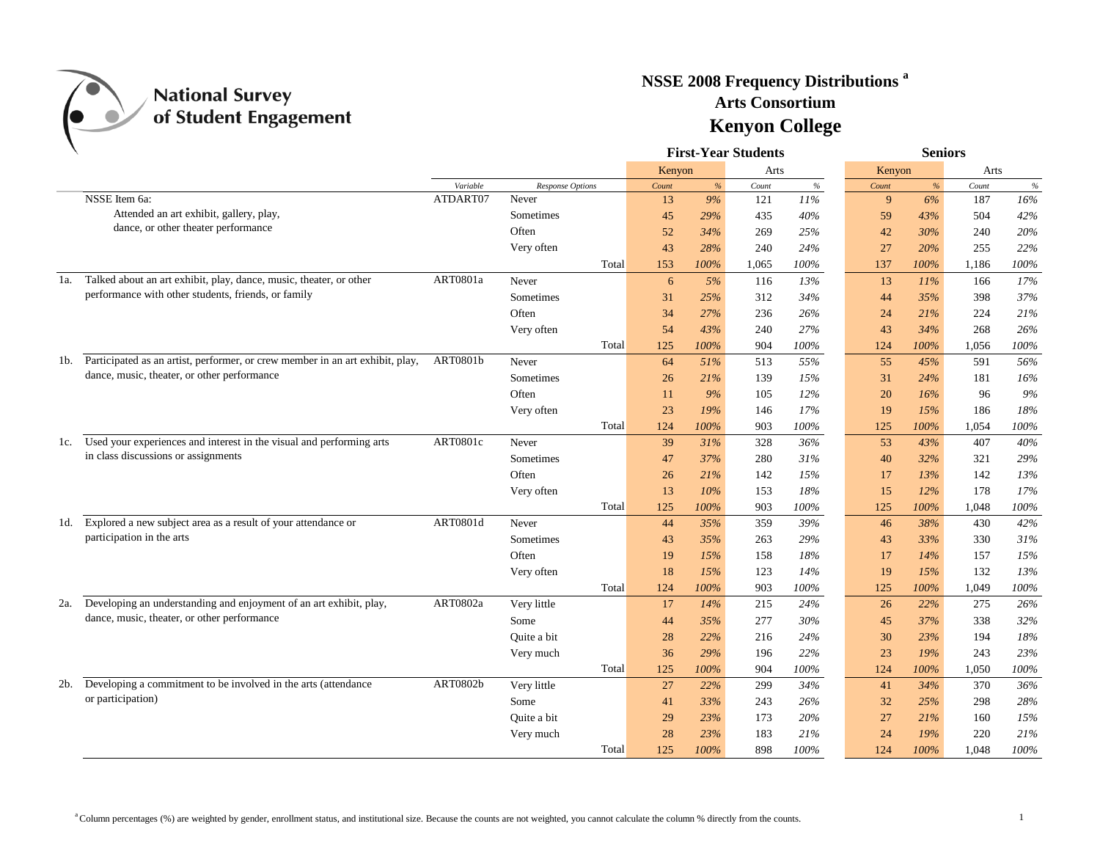

|     |                                                                               |          |                  |       |       |        | <b>First-Year Students</b> |         | <b>Seniors</b> |        |       |      |  |  |
|-----|-------------------------------------------------------------------------------|----------|------------------|-------|-------|--------|----------------------------|---------|----------------|--------|-------|------|--|--|
|     |                                                                               |          |                  |       |       | Kenyon |                            | Arts    |                | Kenyon | Arts  |      |  |  |
|     |                                                                               | Variable | Response Options |       | Count | %      | Count                      | $\%$    | Count          | $\%$   | Count | $\%$ |  |  |
|     | NSSE Item 6a:                                                                 | ATDART07 | Never            |       | 13    | 9%     | 121                        | $11\%$  | 9              | 6%     | 187   | 16%  |  |  |
|     | Attended an art exhibit, gallery, play,                                       |          | Sometimes        |       | 45    | 29%    | 435                        | 40%     | 59             | 43%    | 504   | 42%  |  |  |
|     | dance, or other theater performance                                           |          | Often            |       | 52    | 34%    | 269                        | 25%     | 42             | 30%    | 240   | 20%  |  |  |
|     |                                                                               |          | Very often       |       | 43    | 28%    | 240                        | 24%     | 27             | 20%    | 255   | 22%  |  |  |
|     |                                                                               |          |                  | Total | 153   | 100%   | 1,065                      | 100%    | 137            | 100%   | 1,186 | 100% |  |  |
| 1a. | Talked about an art exhibit, play, dance, music, theater, or other            | ART0801a | Never            |       | 6     | 5%     | 116                        | 13%     | 13             | 11%    | 166   | 17%  |  |  |
|     | performance with other students, friends, or family                           |          | Sometimes        |       | 31    | 25%    | 312                        | 34%     | 44             | 35%    | 398   | 37%  |  |  |
|     |                                                                               |          | Often            |       | 34    | 27%    | 236                        | 26%     | 24             | 21%    | 224   | 21%  |  |  |
|     |                                                                               |          | Very often       |       | 54    | 43%    | 240                        | 27%     | 43             | 34%    | 268   | 26%  |  |  |
|     |                                                                               |          |                  | Total | 125   | 100%   | 904                        | 100%    | 124            | 100%   | 1,056 | 100% |  |  |
| 1b. | Participated as an artist, performer, or crew member in an art exhibit, play, | ART0801b | Never            |       | 64    | 51%    | 513                        | 55%     | 55             | 45%    | 591   | 56%  |  |  |
|     | dance, music, theater, or other performance                                   |          | Sometimes        |       | 26    | 21%    | 139                        | 15%     | 31             | 24%    | 181   | 16%  |  |  |
|     |                                                                               |          | Often            |       | 11    | 9%     | 105                        | 12%     | 20             | 16%    | 96    | 9%   |  |  |
|     |                                                                               |          | Very often       |       | 23    | 19%    | 146                        | 17%     | 19             | 15%    | 186   | 18%  |  |  |
|     |                                                                               |          |                  | Total | 124   | 100%   | 903                        | 100%    | 125            | 100%   | 1,054 | 100% |  |  |
| 1c. | Used your experiences and interest in the visual and performing arts          | ART0801c | Never            |       | 39    | 31%    | 328                        | 36%     | 53             | 43%    | 407   | 40%  |  |  |
|     | in class discussions or assignments                                           |          | Sometimes        |       | 47    | 37%    | 280                        | 31%     | 40             | 32%    | 321   | 29%  |  |  |
|     |                                                                               |          | Often            |       | 26    | 21%    | 142                        | 15%     | 17             | 13%    | 142   | 13%  |  |  |
|     |                                                                               |          | Very often       |       | 13    | 10%    | 153                        | $18\%$  | 15             | 12%    | 178   | 17%  |  |  |
|     |                                                                               |          |                  | Total | 125   | 100%   | 903                        | $100\%$ | 125            | 100%   | 1,048 | 100% |  |  |
| 1d. | Explored a new subject area as a result of your attendance or                 | ART0801d | Never            |       | 44    | 35%    | 359                        | 39%     | 46             | 38%    | 430   | 42%  |  |  |
|     | participation in the arts                                                     |          | Sometimes        |       | 43    | 35%    | 263                        | 29%     | 43             | 33%    | 330   | 31%  |  |  |
|     |                                                                               |          | Often            |       | 19    | 15%    | 158                        | 18%     | 17             | 14%    | 157   | 15%  |  |  |
|     |                                                                               |          | Very often       |       | 18    | 15%    | 123                        | 14%     | 19             | 15%    | 132   | 13%  |  |  |
|     |                                                                               |          |                  | Total | 124   | 100%   | 903                        | 100%    | 125            | 100%   | 1,049 | 100% |  |  |
|     | Developing an understanding and enjoyment of an art exhibit, play,            | ART0802a | Very little      |       | 17    | 14%    | 215                        | 24%     | 26             | 22%    | 275   | 26%  |  |  |
|     | dance, music, theater, or other performance                                   |          | Some             |       | 44    | 35%    | 277                        | 30%     | 45             | 37%    | 338   | 32%  |  |  |
|     |                                                                               |          | Quite a bit      |       | 28    | 22%    | 216                        | 24%     | 30             | 23%    | 194   | 18%  |  |  |
|     |                                                                               |          | Very much        |       | 36    | 29%    | 196                        | 22%     | 23             | 19%    | 243   | 23%  |  |  |
|     |                                                                               |          |                  | Total | 125   | 100%   | 904                        | $100\%$ | 124            | 100%   | 1,050 | 100% |  |  |
| 2b. | Developing a commitment to be involved in the arts (attendance                | ART0802b | Very little      |       | 27    | 22%    | 299                        | 34%     | 41             | 34%    | 370   | 36%  |  |  |
|     | or participation)                                                             |          | Some             |       | 41    | 33%    | 243                        | 26%     | 32             | 25%    | 298   | 28%  |  |  |
|     |                                                                               |          | Ouite a bit      |       | 29    | 23%    | 173                        | 20%     | 27             | 21%    | 160   | 15%  |  |  |
|     |                                                                               |          | Very much        |       | 28    | 23%    | 183                        | 21%     | 24             | 19%    | 220   | 21%  |  |  |
|     |                                                                               |          |                  | Total | 125   | 100%   | 898                        | 100%    | 124            | 100%   | 1,048 | 100% |  |  |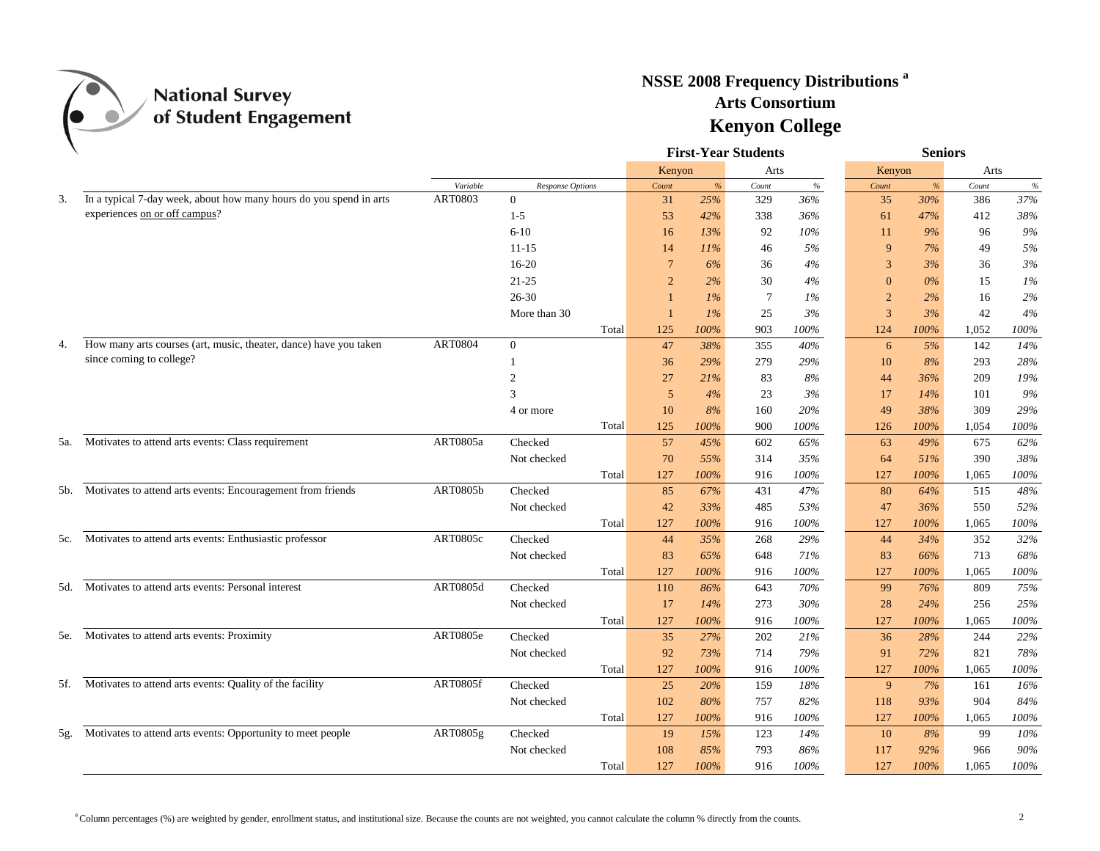

|     |                                                                    |                 |                  |       |                 |       | <b>First-Year Students</b> |         | <b>Seniors</b> |       |       |      |  |  |
|-----|--------------------------------------------------------------------|-----------------|------------------|-------|-----------------|-------|----------------------------|---------|----------------|-------|-------|------|--|--|
|     |                                                                    |                 |                  |       | Kenyon          |       | Arts                       |         | Kenyon         |       | Arts  |      |  |  |
|     |                                                                    | Variable        | Response Options |       | Count           | $\%$  | Count                      | $\%$    | Count          | $\%$  | Count | $\%$ |  |  |
| 3.  | In a typical 7-day week, about how many hours do you spend in arts | <b>ART0803</b>  | $\Omega$         |       | 31              | 25%   | 329                        | 36%     | 35             | 30%   | 386   | 37%  |  |  |
|     | experiences on or off campus?                                      |                 | $1-5$            |       | 53              | 42%   | 338                        | 36%     | 61             | 47%   | 412   | 38%  |  |  |
|     |                                                                    |                 | $6-10$           |       | 16              | 13%   | 92                         | 10%     | 11             | 9%    | 96    | 9%   |  |  |
|     |                                                                    |                 | $11 - 15$        |       | 14              | 11%   | 46                         | $5\%$   | 9              | 7%    | 49    | 5%   |  |  |
|     |                                                                    |                 | 16-20            |       | $7\phantom{.0}$ | 6%    | 36                         | 4%      | 3              | 3%    | 36    | 3%   |  |  |
|     |                                                                    |                 | $21 - 25$        |       | $\overline{2}$  | 2%    | 30                         | 4%      | $\mathbf{0}$   | $0\%$ | 15    | 1%   |  |  |
|     |                                                                    |                 | $26 - 30$        |       |                 | $1\%$ | $\tau$                     | $1\%$   | $\overline{2}$ | 2%    | 16    | 2%   |  |  |
|     |                                                                    |                 | More than 30     |       | $\overline{1}$  | $1\%$ | 25                         | 3%      | $\overline{3}$ | 3%    | 42    | 4%   |  |  |
|     |                                                                    |                 |                  | Total | 125             | 100%  | 903                        | 100%    | 124            | 100%  | 1,052 | 100% |  |  |
| 4.  | How many arts courses (art, music, theater, dance) have you taken  | <b>ART0804</b>  | $\overline{0}$   |       | $47\,$          | 38%   | 355                        | 40%     | 6              | 5%    | 142   | 14%  |  |  |
|     | since coming to college?                                           |                 | 1                |       | 36              | 29%   | 279                        | 29%     | 10             | 8%    | 293   | 28%  |  |  |
|     |                                                                    |                 | $\sqrt{2}$       |       | 27              | 21%   | 83                         | 8%      | 44             | 36%   | 209   | 19%  |  |  |
|     |                                                                    |                 | 3                |       | 5               | 4%    | 23                         | 3%      | 17             | 14%   | 101   | 9%   |  |  |
|     |                                                                    |                 | 4 or more        |       | 10              | 8%    | 160                        | 20%     | 49             | 38%   | 309   | 29%  |  |  |
|     |                                                                    |                 |                  | Total | 125             | 100%  | 900                        | 100%    | 126            | 100%  | 1,054 | 100% |  |  |
|     | 5a. Motivates to attend arts events: Class requirement             | ART0805a        | Checked          |       | 57              | 45%   | 602                        | 65%     | 63             | 49%   | 675   | 62%  |  |  |
|     |                                                                    |                 | Not checked      |       | 70              | 55%   | 314                        | 35%     | 64             | 51%   | 390   | 38%  |  |  |
|     |                                                                    |                 |                  | Total | 127             | 100%  | 916                        | 100%    | 127            | 100%  | 1,065 | 100% |  |  |
|     | 5b. Motivates to attend arts events: Encouragement from friends    | <b>ART0805b</b> | Checked          |       | 85              | 67%   | 431                        | 47%     | 80             | 64%   | 515   | 48%  |  |  |
|     |                                                                    |                 | Not checked      |       | 42              | 33%   | 485                        | 53%     | 47             | 36%   | 550   | 52%  |  |  |
|     |                                                                    |                 |                  | Total | 127             | 100%  | 916                        | 100%    | 127            | 100%  | 1,065 | 100% |  |  |
|     | 5c. Motivates to attend arts events: Enthusiastic professor        | ART0805c        | Checked          |       | 44              | 35%   | 268                        | 29%     | 44             | 34%   | 352   | 32%  |  |  |
|     |                                                                    |                 | Not checked      |       | 83              | 65%   | 648                        | 71%     | 83             | 66%   | 713   | 68%  |  |  |
|     |                                                                    |                 |                  | Total | 127             | 100%  | 916                        | 100%    | 127            | 100%  | 1,065 | 100% |  |  |
|     | 5d. Motivates to attend arts events: Personal interest             | ART0805d        | Checked          |       | 110             | 86%   | 643                        | 70%     | 99             | 76%   | 809   | 75%  |  |  |
|     |                                                                    |                 | Not checked      |       | 17              | 14%   | 273                        | 30%     | 28             | 24%   | 256   | 25%  |  |  |
|     |                                                                    |                 |                  | Total | 127             | 100%  | 916                        | 100%    | 127            | 100%  | 1,065 | 100% |  |  |
|     | 5e. Motivates to attend arts events: Proximity                     | ART0805e        | Checked          |       | 35              | 27%   | 202                        | 21%     | 36             | 28%   | 244   | 22%  |  |  |
|     |                                                                    |                 | Not checked      |       | 92              | 73%   | 714                        | 79%     | 91             | 72%   | 821   | 78%  |  |  |
|     |                                                                    |                 |                  | Total | 127             | 100%  | 916                        | $100\%$ | 127            | 100%  | 1,065 | 100% |  |  |
|     | 5f. Motivates to attend arts events: Quality of the facility       | ART0805f        | Checked          |       | 25              | 20%   | 159                        | 18%     | 9              | 7%    | 161   | 16%  |  |  |
|     |                                                                    |                 | Not checked      |       | 102             | 80%   | 757                        | 82%     | 118            | 93%   | 904   | 84%  |  |  |
|     |                                                                    |                 |                  | Total | 127             | 100%  | 916                        | 100%    | 127            | 100%  | 1,065 | 100% |  |  |
| 5g. | Motivates to attend arts events: Opportunity to meet people        | ART0805g        | Checked          |       | 19              | 15%   | 123                        | 14%     | 10             | 8%    | 99    | 10%  |  |  |
|     |                                                                    |                 | Not checked      |       | 108             | 85%   | 793                        | 86%     | 117            | 92%   | 966   | 90%  |  |  |
|     |                                                                    |                 |                  | Total | 127             | 100%  | 916                        | 100%    | 127            | 100%  | 1.065 | 100% |  |  |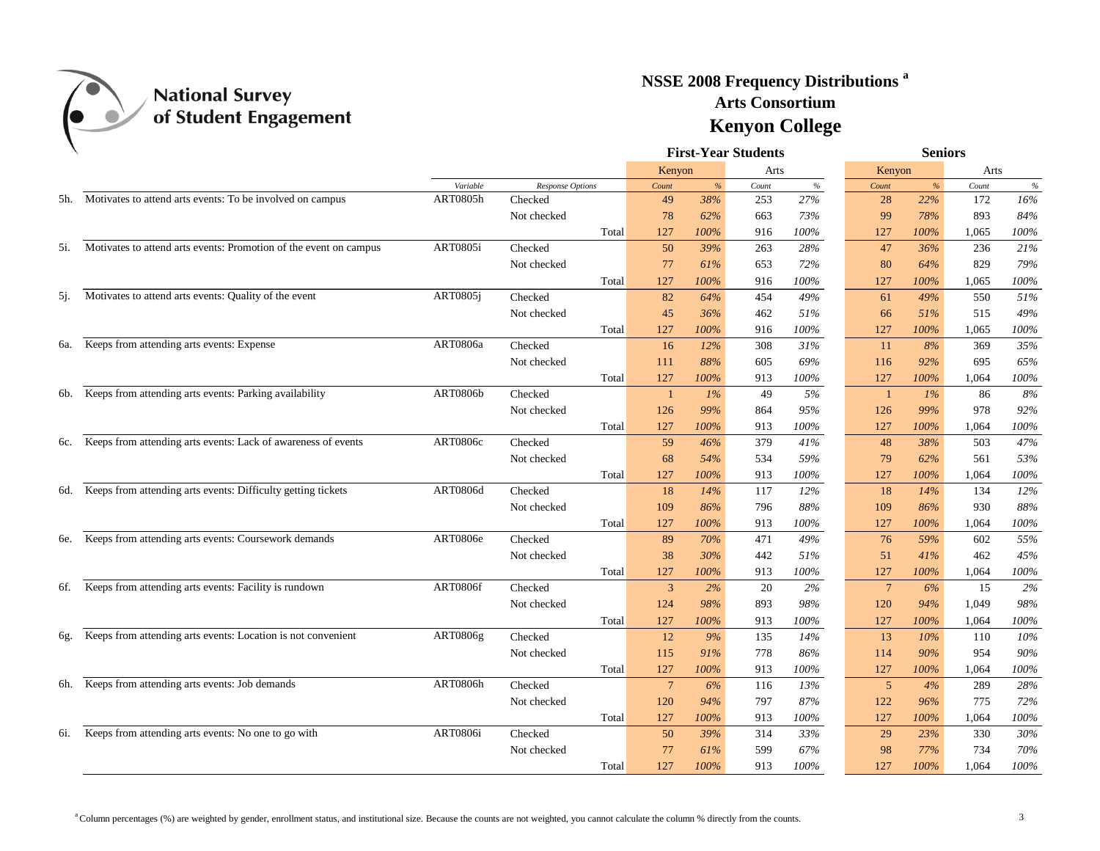

|     |                                                                   |                 |                  |       |                 |       | <b>First-Year Students</b> |         | <b>Seniors</b>  |       |       |      |  |
|-----|-------------------------------------------------------------------|-----------------|------------------|-------|-----------------|-------|----------------------------|---------|-----------------|-------|-------|------|--|
|     |                                                                   |                 |                  |       | Kenyon          |       | Arts                       |         | Kenyon          |       | Arts  |      |  |
|     |                                                                   | Variable        | Response Options |       | Count           | $\%$  | Count                      | $\%$    | Count           | %     | Count | $\%$ |  |
| 5h. | Motivates to attend arts events: To be involved on campus         | ART0805h        | Checked          |       | 49              | 38%   | 253                        | 27%     | 28              | 22%   | 172   | 16%  |  |
|     |                                                                   |                 | Not checked      |       | 78              | 62%   | 663                        | 73%     | 99              | 78%   | 893   | 84%  |  |
|     |                                                                   |                 |                  | Total | 127             | 100%  | 916                        | 100%    | 127             | 100%  | 1,065 | 100% |  |
| 5i. | Motivates to attend arts events: Promotion of the event on campus | <b>ART0805i</b> | Checked          |       | 50              | 39%   | 263                        | $28\%$  | 47              | 36%   | 236   | 21%  |  |
|     |                                                                   |                 | Not checked      |       | 77              | 61%   | 653                        | 72%     | 80              | 64%   | 829   | 79%  |  |
|     |                                                                   |                 |                  | Total | 127             | 100%  | 916                        | 100%    | 127             | 100%  | 1,065 | 100% |  |
| 5j. | Motivates to attend arts events: Quality of the event             | <b>ART0805j</b> | Checked          |       | 82              | 64%   | 454                        | 49%     | 61              | 49%   | 550   | 51%  |  |
|     |                                                                   |                 | Not checked      |       | 45              | 36%   | 462                        | 51%     | 66              | 51%   | 515   | 49%  |  |
|     |                                                                   |                 |                  | Total | 127             | 100%  | 916                        | $100\%$ | 127             | 100%  | 1,065 | 100% |  |
| 6a. | Keeps from attending arts events: Expense                         | ART0806a        | Checked          |       | 16              | 12%   | 308                        | 31%     | 11              | 8%    | 369   | 35%  |  |
|     |                                                                   |                 | Not checked      |       | 111             | 88%   | 605                        | 69%     | 116             | 92%   | 695   | 65%  |  |
|     |                                                                   |                 |                  | Total | 127             | 100%  | 913                        | 100%    | 127             | 100%  | 1,064 | 100% |  |
| 6b. | Keeps from attending arts events: Parking availability            | <b>ART0806b</b> | Checked          |       | $\overline{1}$  | $1\%$ | 49                         | 5%      | $\mathbf{1}$    | $1\%$ | 86    | 8%   |  |
|     |                                                                   |                 | Not checked      |       | 126             | 99%   | 864                        | 95%     | 126             | 99%   | 978   | 92%  |  |
|     |                                                                   |                 |                  | Total | 127             | 100%  | 913                        | 100%    | 127             | 100%  | 1,064 | 100% |  |
| 6c. | Keeps from attending arts events: Lack of awareness of events     | ART0806c        | Checked          |       | 59              | 46%   | 379                        | 41%     | 48              | 38%   | 503   | 47%  |  |
|     |                                                                   |                 | Not checked      |       | 68              | 54%   | 534                        | 59%     | 79              | 62%   | 561   | 53%  |  |
|     |                                                                   |                 |                  | Total | 127             | 100%  | 913                        | 100%    | 127             | 100%  | 1,064 | 100% |  |
|     | 6d. Keeps from attending arts events: Difficulty getting tickets  | ART0806d        | Checked          |       | 18              | 14%   | 117                        | 12%     | 18              | 14%   | 134   | 12%  |  |
|     |                                                                   |                 | Not checked      |       | 109             | 86%   | 796                        | 88%     | 109             | 86%   | 930   | 88%  |  |
|     |                                                                   |                 |                  | Total | 127             | 100%  | 913                        | 100%    | 127             | 100%  | 1,064 | 100% |  |
| 6e. | Keeps from attending arts events: Coursework demands              | <b>ART0806e</b> | Checked          |       | 89              | 70%   | 471                        | 49%     | 76              | 59%   | 602   | 55%  |  |
|     |                                                                   |                 | Not checked      |       | 38              | 30%   | 442                        | 51%     | 51              | 41%   | 462   | 45%  |  |
|     |                                                                   |                 |                  | Total | 127             | 100%  | 913                        | 100%    | 127             | 100%  | 1,064 | 100% |  |
| 6f. | Keeps from attending arts events: Facility is rundown             | ART0806f        | Checked          |       | $\mathfrak{Z}$  | 2%    | 20                         | 2%      | $7\phantom{.0}$ | 6%    | 15    | 2%   |  |
|     |                                                                   |                 | Not checked      |       | 124             | 98%   | 893                        | 98%     | 120             | 94%   | 1,049 | 98%  |  |
|     |                                                                   |                 |                  | Total | 127             | 100%  | 913                        | 100%    | 127             | 100%  | 1,064 | 100% |  |
| 6g. | Keeps from attending arts events: Location is not convenient      | ART0806g        | Checked          |       | 12              | 9%    | 135                        | 14%     | 13              | 10%   | 110   | 10%  |  |
|     |                                                                   |                 | Not checked      |       | 115             | 91%   | 778                        | 86%     | 114             | 90%   | 954   | 90%  |  |
|     |                                                                   |                 |                  | Total | 127             | 100%  | 913                        | 100%    | 127             | 100%  | 1,064 | 100% |  |
| 6h. | Keeps from attending arts events: Job demands                     | ART0806h        | Checked          |       | $7\phantom{.0}$ | 6%    | 116                        | 13%     | 5               | 4%    | 289   | 28%  |  |
|     |                                                                   |                 | Not checked      |       | 120             | 94%   | 797                        | 87%     | 122             | 96%   | 775   | 72%  |  |
|     |                                                                   |                 |                  | Total | 127             | 100%  | 913                        | 100%    | 127             | 100%  | 1,064 | 100% |  |
| 6i. | Keeps from attending arts events: No one to go with               | ART0806i        | Checked          |       | 50              | 39%   | 314                        | $33\%$  | 29              | 23%   | 330   | 30%  |  |
|     |                                                                   |                 | Not checked      |       | 77              | 61%   | 599                        | 67%     | 98              | 77%   | 734   | 70%  |  |
|     |                                                                   |                 |                  | Total | 127             | 100%  | 913                        | 100%    | 127             | 100%  | 1,064 | 100% |  |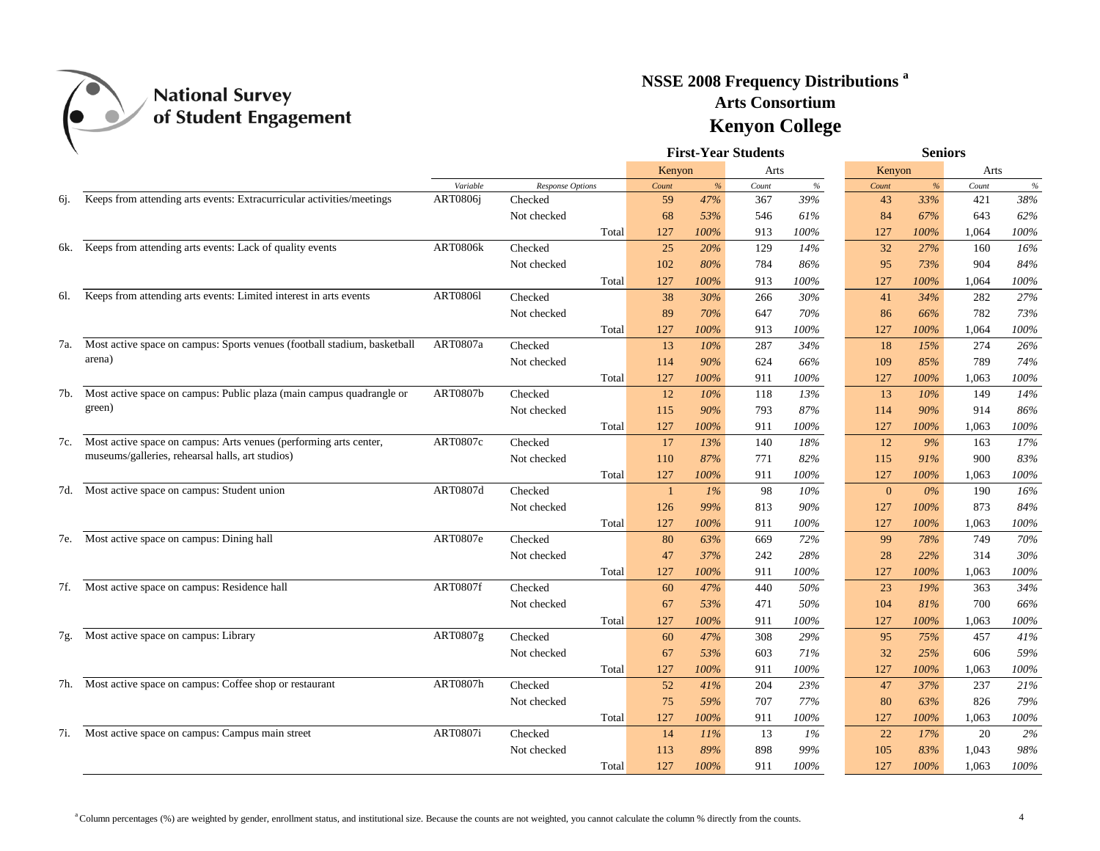

|     |                                                                          |                 |                  |       |              |       | <b>First-Year Students</b> |         | <b>Seniors</b> |       |       |      |  |
|-----|--------------------------------------------------------------------------|-----------------|------------------|-------|--------------|-------|----------------------------|---------|----------------|-------|-------|------|--|
|     |                                                                          |                 |                  |       | Kenyon       |       | Arts                       |         | Kenyon         |       | Arts  |      |  |
|     |                                                                          | Variable        | Response Options |       | Count        | %     | Count                      | $\%$    | Count          | $\%$  | Count | $\%$ |  |
| 61. | Keeps from attending arts events: Extracurricular activities/meetings    | ART0806j        | Checked          |       | 59           | 47%   | 367                        | 39%     | 43             | 33%   | 421   | 38%  |  |
|     |                                                                          |                 | Not checked      |       | 68           | 53%   | 546                        | 61%     | 84             | 67%   | 643   | 62%  |  |
|     |                                                                          |                 |                  | Total | 127          | 100%  | 913                        | 100%    | 127            | 100%  | 1,064 | 100% |  |
| 6k. | Keeps from attending arts events: Lack of quality events                 | ART0806k        | Checked          |       | 25           | 20%   | 129                        | 14%     | 32             | 27%   | 160   | 16%  |  |
|     |                                                                          |                 | Not checked      |       | 102          | 80%   | 784                        | 86%     | 95             | 73%   | 904   | 84%  |  |
|     |                                                                          |                 |                  | Total | 127          | 100%  | 913                        | 100%    | 127            | 100%  | 1,064 | 100% |  |
| 61. | Keeps from attending arts events: Limited interest in arts events        | <b>ART08061</b> | Checked          |       | 38           | 30%   | 266                        | 30%     | 41             | 34%   | 282   | 27%  |  |
|     |                                                                          |                 | Not checked      |       | 89           | 70%   | 647                        | 70%     | 86             | 66%   | 782   | 73%  |  |
|     |                                                                          |                 |                  | Total | 127          | 100%  | 913                        | 100%    | 127            | 100%  | 1,064 | 100% |  |
| 7a. | Most active space on campus: Sports venues (football stadium, basketball | ART0807a        | Checked          |       | 13           | 10%   | 287                        | 34%     | 18             | 15%   | 274   | 26%  |  |
|     | arena)                                                                   |                 | Not checked      |       | 114          | 90%   | 624                        | 66%     | 109            | 85%   | 789   | 74%  |  |
|     |                                                                          |                 |                  | Total | 127          | 100%  | 911                        | $100\%$ | 127            | 100%  | 1,063 | 100% |  |
| 7b. | Most active space on campus: Public plaza (main campus quadrangle or     | <b>ART0807b</b> | Checked          |       | 12           | 10%   | 118                        | 13%     | 13             | 10%   | 149   | 14%  |  |
|     | green)                                                                   |                 | Not checked      |       | 115          | 90%   | 793                        | 87%     | 114            | 90%   | 914   | 86%  |  |
|     |                                                                          |                 |                  | Total | 127          | 100%  | 911                        | 100%    | 127            | 100%  | 1,063 | 100% |  |
|     | 7c. Most active space on campus: Arts venues (performing arts center,    | ART0807c        | Checked          |       | 17           | 13%   | 140                        | 18%     | 12             | 9%    | 163   | 17%  |  |
|     | museums/galleries, rehearsal halls, art studios)                         |                 | Not checked      |       | 110          | 87%   | 771                        | 82%     | 115            | 91%   | 900   | 83%  |  |
|     |                                                                          |                 |                  | Total | 127          | 100%  | 911                        | 100%    | 127            | 100%  | 1,063 | 100% |  |
|     | 7d. Most active space on campus: Student union                           | ART0807d        | Checked          |       | $\mathbf{1}$ | $1\%$ | 98                         | 10%     | $\mathbf{0}$   | $0\%$ | 190   | 16%  |  |
|     |                                                                          |                 | Not checked      |       | 126          | 99%   | 813                        | 90%     | 127            | 100%  | 873   | 84%  |  |
|     |                                                                          |                 |                  | Total | 127          | 100%  | 911                        | 100%    | 127            | 100%  | 1,063 | 100% |  |
|     | 7e. Most active space on campus: Dining hall                             | ART0807e        | Checked          |       | 80           | 63%   | 669                        | 72%     | 99             | 78%   | 749   | 70%  |  |
|     |                                                                          |                 | Not checked      |       | 47           | 37%   | 242                        | 28%     | 28             | 22%   | 314   | 30%  |  |
|     |                                                                          |                 |                  | Total | 127          | 100%  | 911                        | 100%    | 127            | 100%  | 1,063 | 100% |  |
|     | 7f. Most active space on campus: Residence hall                          | <b>ART0807f</b> | Checked          |       | 60           | 47%   | 440                        | 50%     | 23             | 19%   | 363   | 34%  |  |
|     |                                                                          |                 | Not checked      |       | 67           | 53%   | 471                        | 50%     | 104            | 81%   | 700   | 66%  |  |
|     |                                                                          |                 |                  | Total | 127          | 100%  | 911                        | 100%    | 127            | 100%  | 1,063 | 100% |  |
| 7g. | Most active space on campus: Library                                     | ART0807g        | Checked          |       | 60           | 47%   | 308                        | 29%     | 95             | 75%   | 457   | 41%  |  |
|     |                                                                          |                 | Not checked      |       | 67           | 53%   | 603                        | 71%     | 32             | 25%   | 606   | 59%  |  |
|     |                                                                          |                 |                  | Total | 127          | 100%  | 911                        | $100\%$ | 127            | 100%  | 1,063 | 100% |  |
|     | 7h. Most active space on campus: Coffee shop or restaurant               | <b>ART0807h</b> | Checked          |       | 52           | 41%   | 204                        | 23%     | 47             | 37%   | 237   | 21%  |  |
|     |                                                                          |                 | Not checked      |       | 75           | 59%   | 707                        | 77%     | 80             | 63%   | 826   | 79%  |  |
|     |                                                                          |                 |                  | Total | 127          | 100%  | 911                        | 100%    | 127            | 100%  | 1,063 | 100% |  |
|     | 7i. Most active space on campus: Campus main street                      | <b>ART0807i</b> | Checked          |       | 14           | 11%   | 13                         | $1\%$   | 22             | 17%   | 20    | 2%   |  |
|     |                                                                          |                 | Not checked      |       | 113          | 89%   | 898                        | 99%     | 105            | 83%   | 1,043 | 98%  |  |
|     |                                                                          |                 |                  | Total | 127          | 100%  | 911                        | 100%    | 127            | 100%  | 1.063 | 100% |  |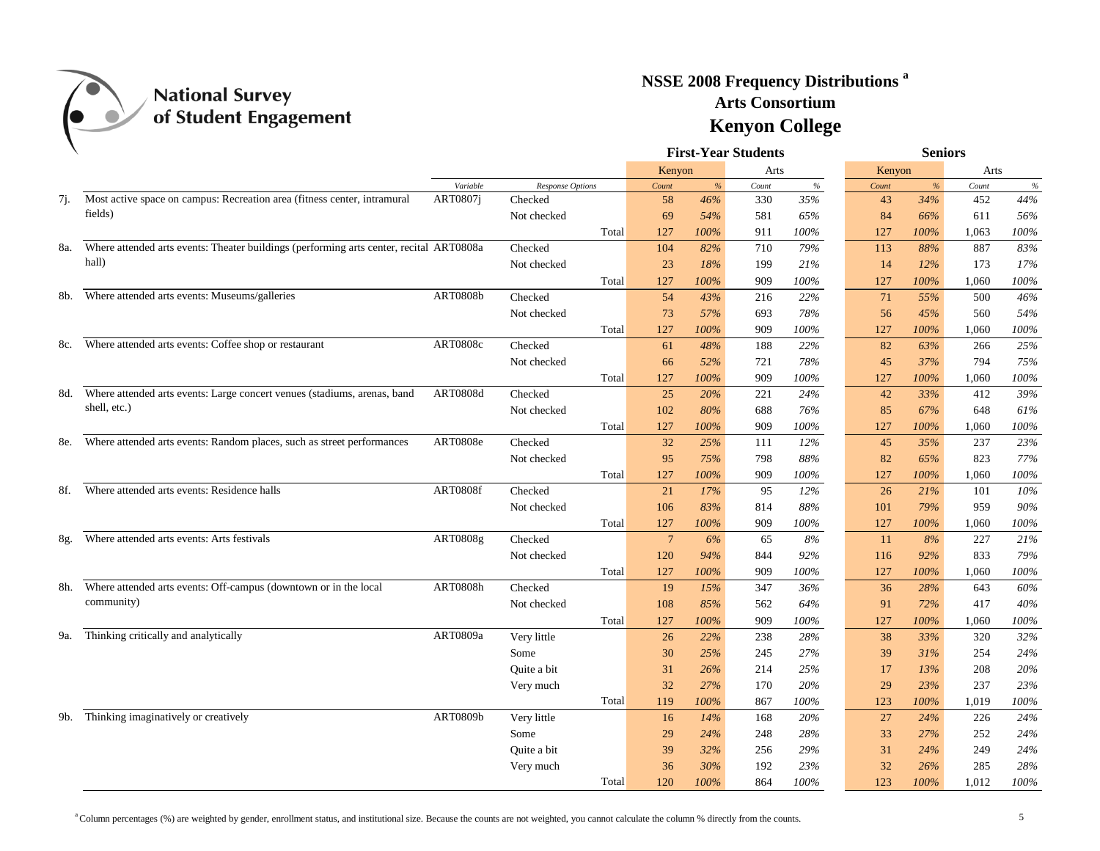

|     |                                                                                         |                 |                  |       |                 |      | <b>First-Year Students</b> |         | <b>Seniors</b> |      |       |      |  |  |
|-----|-----------------------------------------------------------------------------------------|-----------------|------------------|-------|-----------------|------|----------------------------|---------|----------------|------|-------|------|--|--|
|     |                                                                                         |                 |                  |       | Kenyon          |      | Arts                       |         | Kenyon         |      | Arts  |      |  |  |
|     |                                                                                         | Variable        | Response Options |       | Count           | $\%$ | Count                      | $\%$    | Count          | $\%$ | Count | $\%$ |  |  |
| 7j. | Most active space on campus: Recreation area (fitness center, intramural                | <b>ART0807j</b> | Checked          |       | 58              | 46%  | 330                        | 35%     | 43             | 34%  | 452   | 44%  |  |  |
|     | fields)                                                                                 |                 | Not checked      |       | 69              | 54%  | 581                        | 65%     | 84             | 66%  | 611   | 56%  |  |  |
|     |                                                                                         |                 |                  | Total | 127             | 100% | 911                        | 100%    | 127            | 100% | 1,063 | 100% |  |  |
| 8a. | Where attended arts events: Theater buildings (performing arts center, recital ART0808a |                 | Checked          |       | 104             | 82%  | 710                        | $79\%$  | 113            | 88%  | 887   | 83%  |  |  |
|     | hall)                                                                                   |                 | Not checked      |       | 23              | 18%  | 199                        | $21\%$  | 14             | 12%  | 173   | 17%  |  |  |
|     |                                                                                         |                 |                  | Total | 127             | 100% | 909                        | 100%    | 127            | 100% | 1,060 | 100% |  |  |
| 8b. | Where attended arts events: Museums/galleries                                           | <b>ART0808b</b> | Checked          |       | 54              | 43%  | 216                        | $22\%$  | 71             | 55%  | 500   | 46%  |  |  |
|     |                                                                                         |                 | Not checked      |       | 73              | 57%  | 693                        | 78%     | 56             | 45%  | 560   | 54%  |  |  |
|     |                                                                                         |                 |                  | Total | 127             | 100% | 909                        | $100\%$ | 127            | 100% | 1,060 | 100% |  |  |
|     | 8c. Where attended arts events: Coffee shop or restaurant                               | <b>ART0808c</b> | Checked          |       | 61              | 48%  | 188                        | 22%     | 82             | 63%  | 266   | 25%  |  |  |
|     |                                                                                         |                 | Not checked      |       | 66              | 52%  | 721                        | 78%     | 45             | 37%  | 794   | 75%  |  |  |
|     |                                                                                         |                 |                  | Total | 127             | 100% | 909                        | 100%    | 127            | 100% | 1,060 | 100% |  |  |
| 8d. | Where attended arts events: Large concert venues (stadiums, arenas, band                | ART0808d        | Checked          |       | 25              | 20%  | 221                        | $24\%$  | 42             | 33%  | 412   | 39%  |  |  |
|     | shell, etc.)                                                                            |                 | Not checked      |       | 102             | 80%  | 688                        | $76\%$  | 85             | 67%  | 648   | 61%  |  |  |
|     |                                                                                         |                 |                  | Total | 127             | 100% | 909                        | $100\%$ | 127            | 100% | 1,060 | 100% |  |  |
| 8e. | Where attended arts events: Random places, such as street performances                  | <b>ART0808e</b> | Checked          |       | 32              | 25%  | 111                        | 12%     | 45             | 35%  | 237   | 23%  |  |  |
|     |                                                                                         |                 | Not checked      |       | 95              | 75%  | 798                        | $88\%$  | 82             | 65%  | 823   | 77%  |  |  |
|     |                                                                                         |                 |                  | Total | 127             | 100% | 909                        | $100\%$ | 127            | 100% | 1,060 | 100% |  |  |
| 8f. | Where attended arts events: Residence halls                                             | <b>ART0808f</b> | Checked          |       | 21              | 17%  | 95                         | 12%     | 26             | 21%  | 101   | 10%  |  |  |
|     |                                                                                         |                 | Not checked      |       | 106             | 83%  | 814                        | 88%     | 101            | 79%  | 959   | 90%  |  |  |
|     |                                                                                         |                 |                  | Total | 127             | 100% | 909                        | $100\%$ | 127            | 100% | 1,060 | 100% |  |  |
| 8g. | Where attended arts events: Arts festivals                                              | ART0808g        | Checked          |       | $7\phantom{.0}$ | 6%   | 65                         | $8\%$   | 11             | 8%   | 227   | 21%  |  |  |
|     |                                                                                         |                 | Not checked      |       | 120             | 94%  | 844                        | $92\%$  | 116            | 92%  | 833   | 79%  |  |  |
|     |                                                                                         |                 |                  | Total | 127             | 100% | 909                        | 100%    | 127            | 100% | 1,060 | 100% |  |  |
| 8h. | Where attended arts events: Off-campus (downtown or in the local                        | ART0808h        | Checked          |       | 19              | 15%  | 347                        | 36%     | 36             | 28%  | 643   | 60%  |  |  |
|     | community)                                                                              |                 | Not checked      |       | 108             | 85%  | 562                        | 64%     | 91             | 72%  | 417   | 40%  |  |  |
|     |                                                                                         |                 |                  | Total | 127             | 100% | 909                        | 100%    | 127            | 100% | 1,060 | 100% |  |  |
| 9a. | Thinking critically and analytically                                                    | ART0809a        | Very little      |       | 26              | 22%  | 238                        | 28%     | 38             | 33%  | 320   | 32%  |  |  |
|     |                                                                                         |                 | Some             |       | 30              | 25%  | 245                        | $27\%$  | 39             | 31%  | 254   | 24%  |  |  |
|     |                                                                                         |                 | Quite a bit      |       | 31              | 26%  | 214                        | 25%     | 17             | 13%  | 208   | 20%  |  |  |
|     |                                                                                         |                 | Very much        |       | 32              | 27%  | 170                        | 20%     | 29             | 23%  | 237   | 23%  |  |  |
|     |                                                                                         |                 |                  | Total | 119             | 100% | 867                        | 100%    | 123            | 100% | 1,019 | 100% |  |  |
|     | 9b. Thinking imaginatively or creatively                                                | ART0809b        | Very little      |       | 16              | 14%  | 168                        | 20%     | 27             | 24%  | 226   | 24%  |  |  |
|     |                                                                                         |                 | Some             |       | 29              | 24%  | 248                        | 28%     | 33             | 27%  | 252   | 24%  |  |  |
|     |                                                                                         |                 | Quite a bit      |       | 39              | 32%  | 256                        | 29%     | 31             | 24%  | 249   | 24%  |  |  |
|     |                                                                                         |                 | Very much        |       | 36              | 30%  | 192                        | 23%     | 32             | 26%  | 285   | 28%  |  |  |
|     |                                                                                         |                 |                  | Total | 120             | 100% | 864                        | 100%    | 123            | 100% | 1,012 | 100% |  |  |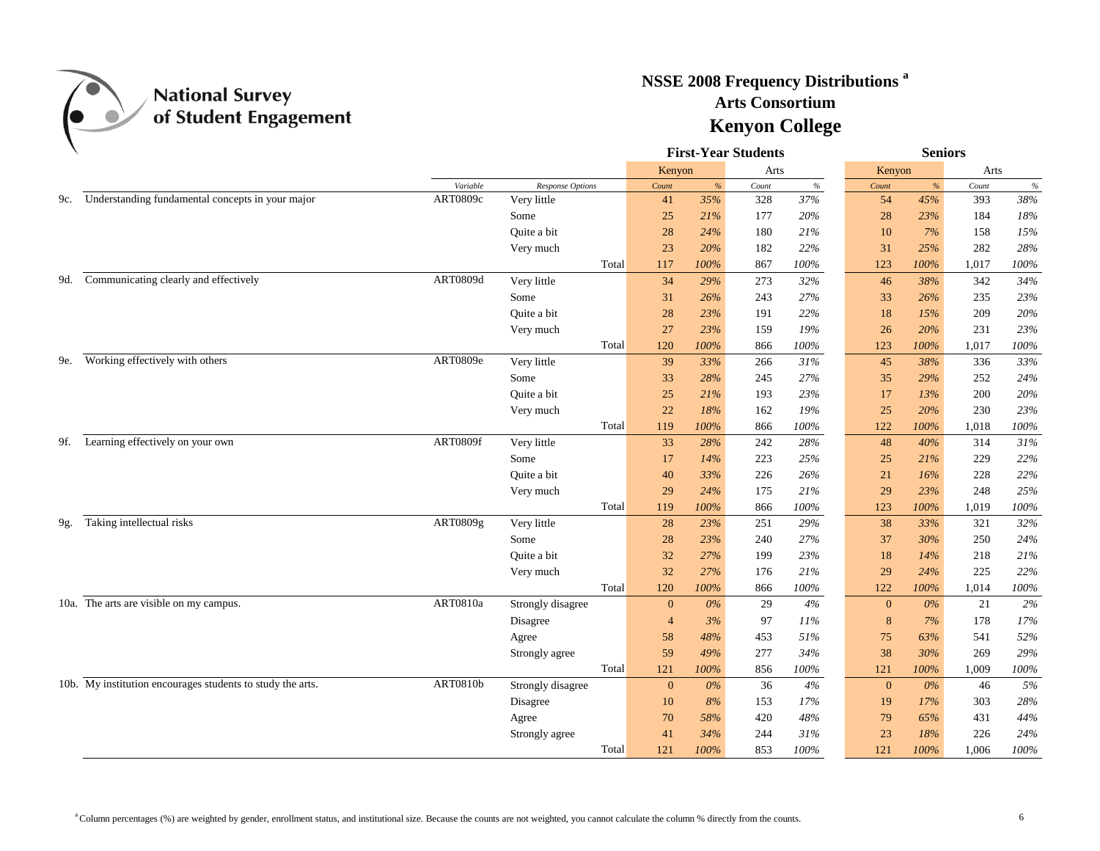

|     |                                                            |          | <b>Seniors</b>    |                  |        |       |         |                  |        |       |      |
|-----|------------------------------------------------------------|----------|-------------------|------------------|--------|-------|---------|------------------|--------|-------|------|
|     |                                                            |          |                   |                  | Kenyon |       | Arts    | Kenyon           |        | Arts  |      |
|     |                                                            | Variable | Response Options  | Count            | $\%$   | Count | $\%$    | Count            | $\%$   | Count | $\%$ |
| 9с. | Understanding fundamental concepts in your major           | ART0809c | Very little       | 41               | 35%    | 328   | 37%     | 54               | 45%    | 393   | 38%  |
|     |                                                            |          | Some              | 25               | 21%    | 177   | 20%     | 28               | 23%    | 184   | 18%  |
|     |                                                            |          | Quite a bit       | ${\bf 28}$       | 24%    | 180   | 21%     | 10               | $7\%$  | 158   | 15%  |
|     |                                                            |          | Very much         | 23               | 20%    | 182   | 22%     | 31               | 25%    | 282   | 28%  |
|     |                                                            |          | Total             | 117              | 100%   | 867   | $100\%$ | 123              | 100%   | 1,017 | 100% |
|     | 9d. Communicating clearly and effectively                  | ART0809d | Very little       | 34               | 29%    | 273   | 32%     | 46               | 38%    | 342   | 34%  |
|     |                                                            |          | Some              | 31               | 26%    | 243   | 27%     | 33               | 26%    | 235   | 23%  |
|     |                                                            |          | Ouite a bit       | 28               | 23%    | 191   | 22%     | 18               | 15%    | 209   | 20%  |
|     |                                                            |          | Very much         | 27               | 23%    | 159   | 19%     | 26               | 20%    | 231   | 23%  |
|     |                                                            |          | Total             | 120              | 100%   | 866   | $100\%$ | 123              | 100%   | 1,017 | 100% |
| 9e. | Working effectively with others                            | ART0809e | Very little       | 39               | 33%    | 266   | 31%     | 45               | 38%    | 336   | 33%  |
|     |                                                            |          | Some              | 33               | 28%    | 245   | 27%     | 35               | 29%    | 252   | 24%  |
|     |                                                            |          | Quite a bit       | 25               | 21%    | 193   | 23%     | 17               | 13%    | 200   | 20%  |
|     |                                                            |          | Very much         | 22               | $18\%$ | 162   | 19%     | 25               | 20%    | 230   | 23%  |
|     |                                                            |          | Total             | 119              | 100%   | 866   | $100\%$ | 122              | 100%   | 1,018 | 100% |
|     | 9f. Learning effectively on your own                       | ART0809f | Very little       | 33               | $28\%$ | 242   | $28\%$  | 48               | 40%    | 314   | 31%  |
|     |                                                            |          | Some              | 17               | 14%    | 223   | 25%     | 25               | 21%    | 229   | 22%  |
|     |                                                            |          | Quite a bit       | 40               | 33%    | 226   | 26%     | 21               | 16%    | 228   | 22%  |
|     |                                                            |          | Very much         | 29               | 24%    | 175   | 21%     | 29               | 23%    | 248   | 25%  |
|     |                                                            |          | Total             | 119              | 100%   | 866   | $100\%$ | 123              | 100%   | 1,019 | 100% |
| 9g. | Taking intellectual risks                                  | ART0809g | Very little       | 28               | 23%    | 251   | 29%     | 38               | 33%    | 321   | 32%  |
|     |                                                            |          | Some              | 28               | 23%    | 240   | $27\%$  | 37               | 30%    | 250   | 24%  |
|     |                                                            |          | Quite a bit       | 32               | 27%    | 199   | 23%     | 18               | 14%    | 218   | 21%  |
|     |                                                            |          | Very much         | 32               | 27%    | 176   | 21%     | 29               | 24%    | 225   | 22%  |
|     |                                                            |          | Total             | 120              | 100%   | 866   | 100%    | 122              | 100%   | 1,014 | 100% |
|     | 10a. The arts are visible on my campus.                    | ART0810a | Strongly disagree | $\boldsymbol{0}$ | $0\%$  | 29    | $4\%$   | $\boldsymbol{0}$ | $0\%$  | 21    | 2%   |
|     |                                                            |          | Disagree          | $\overline{4}$   | 3%     | 97    | 11%     | $8\phantom{1}$   | 7%     | 178   | 17%  |
|     |                                                            |          | Agree             | 58               | 48%    | 453   | 51%     | 75               | 63%    | 541   | 52%  |
|     |                                                            |          | Strongly agree    | 59               | 49%    | 277   | 34%     | 38               | 30%    | 269   | 29%  |
|     |                                                            |          | Total             | 121              | 100%   | 856   | $100\%$ | 121              | 100%   | 1,009 | 100% |
|     | 10b. My institution encourages students to study the arts. | ART0810b | Strongly disagree | $\mathbf{0}$     | $0\%$  | 36    | $4\%$   | $\mathbf{0}$     | $0\%$  | 46    | 5%   |
|     |                                                            |          | Disagree          | 10               | 8%     | 153   | 17%     | 19               | 17%    | 303   | 28%  |
|     |                                                            |          | Agree             | 70               | 58%    | 420   | $48\%$  | 79               | 65%    | 431   | 44%  |
|     |                                                            |          | Strongly agree    | 41               | 34%    | 244   | 31%     | 23               | $18\%$ | 226   | 24%  |
|     |                                                            |          | Total             | 121              | 100%   | 853   | 100%    | 121              | 100%   | 1,006 | 100% |